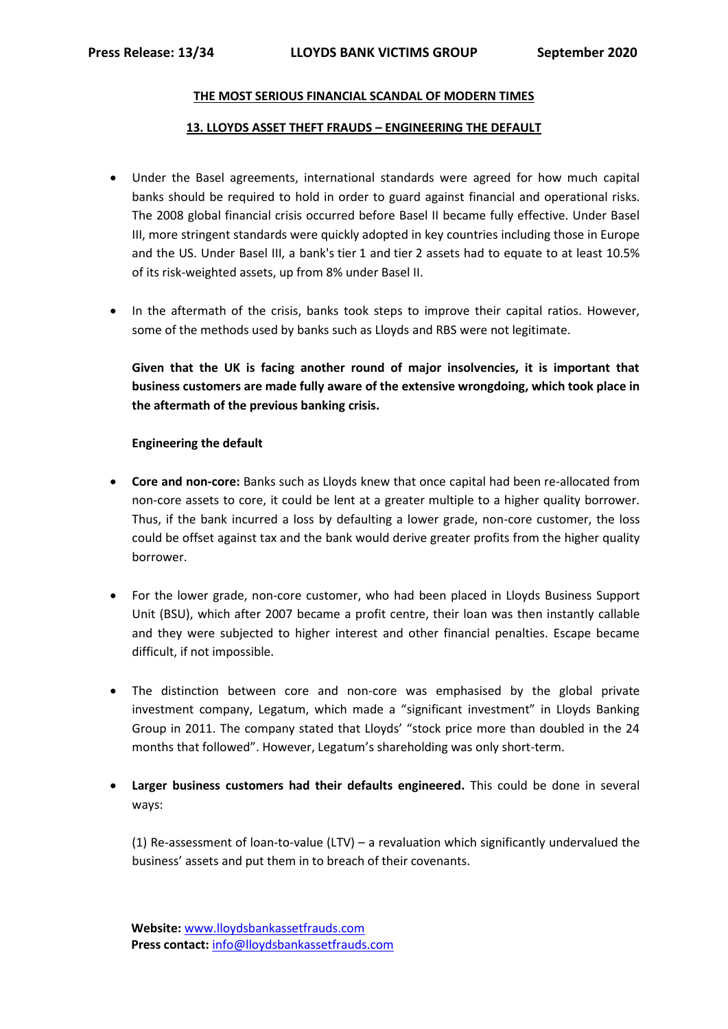## **THE MOST SERIOUS FINANCIAL SCANDAL OF MODERN TIMES**

## **13. LLOYDS ASSET THEFT FRAUDS – ENGINEERING THE DEFAULT**

- Under the Basel agreements, international standards were agreed for how much capital banks should be required to hold in order to guard against financial and operational risks. The 2008 global financial crisis occurred before Basel II became fully effective. Under Basel III, more stringent standards were quickly adopted in key countries including those in Europe and the US. Under Basel III, a bank's tier 1 and tier 2 assets had to equate to at least 10.5% of its risk-weighted assets, up from 8% under Basel II.
- In the aftermath of the crisis, banks took steps to improve their capital ratios. However, some of the methods used by banks such as Lloyds and RBS were not legitimate.

**Given that the UK is facing another round of major insolvencies, it is important that business customers are made fully aware of the extensive wrongdoing, which took place in the aftermath of the previous banking crisis.**

## **Engineering the default**

- **Core and non-core:** Banks such as Lloyds knew that once capital had been re-allocated from non-core assets to core, it could be lent at a greater multiple to a higher quality borrower. Thus, if the bank incurred a loss by defaulting a lower grade, non-core customer, the loss could be offset against tax and the bank would derive greater profits from the higher quality borrower.
- For the lower grade, non-core customer, who had been placed in Lloyds Business Support Unit (BSU), which after 2007 became a profit centre, their loan was then instantly callable and they were subjected to higher interest and other financial penalties. Escape became difficult, if not impossible.
- The distinction between core and non-core was emphasised by the global private investment company, Legatum, which made a "significant investment" in Lloyds Banking Group in 2011. The company stated that Lloyds' "stock price more than doubled in the 24 months that followed". However, Legatum's shareholding was only short-term.
- **Larger business customers had their defaults engineered.** This could be done in several ways:

(1) Re-assessment of loan-to-value (LTV) – a revaluation which significantly undervalued the business' assets and put them in to breach of their covenants.